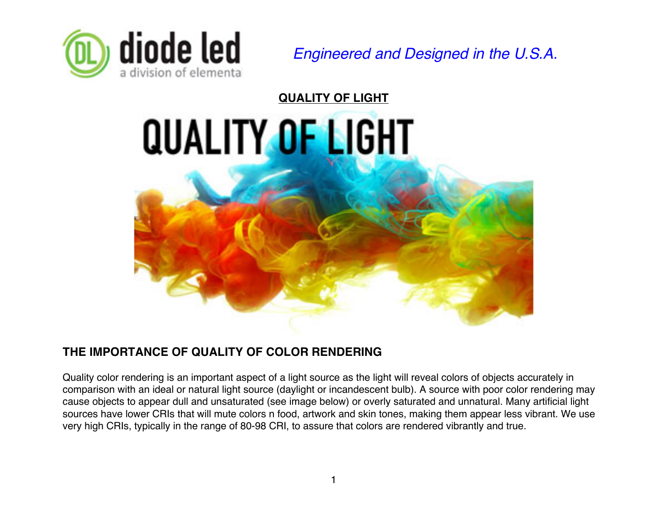

*Engineered and Designed in the U.S.A.*

**QUALITY OF LIGHT QUALITY OF LIGHT** 

# **THE IMPORTANCE OF QUALITY OF COLOR RENDERING**

Quality color rendering is an important aspect of a light source as the light will reveal colors of objects accurately in comparison with an ideal or natural light source (daylight or incandescent bulb). A source with poor color rendering may cause objects to appear dull and unsaturated (see image below) or overly saturated and unnatural. Many artificial light sources have lower CRIs that will mute colors n food, artwork and skin tones, making them appear less vibrant. We use very high CRIs, typically in the range of 80-98 CRI, to assure that colors are rendered vibrantly and true.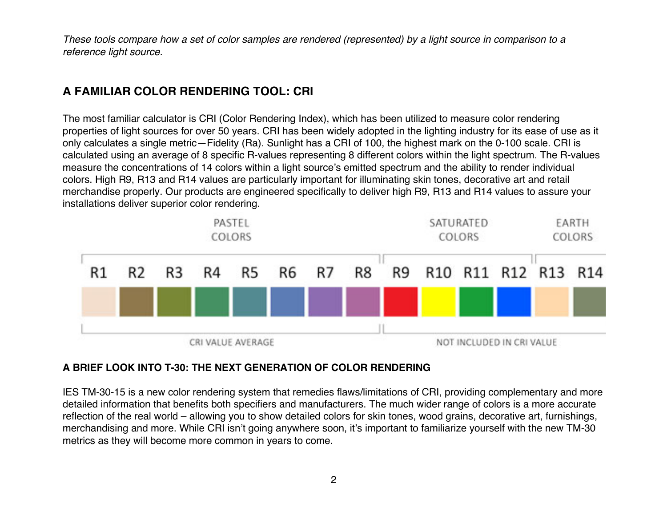*These tools compare how a set of color samples are rendered (represented) by a light source in comparison to a reference light source.*

# **A FAMILIAR COLOR RENDERING TOOL: CRI**

The most familiar calculator is CRI (Color Rendering Index), which has been utilized to measure color rendering properties of light sources for over 50 years. CRI has been widely adopted in the lighting industry for its ease of use as it only calculates a single metric—Fidelity (Ra). Sunlight has a CRI of 100, the highest mark on the 0-100 scale. CRI is calculated using an average of 8 specific R-values representing 8 different colors within the light spectrum. The R-values measure the concentrations of 14 colors within a light source's emitted spectrum and the ability to render individual colors. High R9, R13 and R14 values are particularly important for illuminating skin tones, decorative art and retail merchandise properly. Our products are engineered specifically to deliver high R9, R13 and R14 values to assure your installations deliver superior color rendering.



#### **A BRIEF LOOK INTO T-30: THE NEXT GENERATION OF COLOR RENDERING**

IES TM-30-15 is a new color rendering system that remedies flaws/limitations of CRI, providing complementary and more detailed information that benefits both specifiers and manufacturers. The much wider range of colors is a more accurate reflection of the real world – allowing you to show detailed colors for skin tones, wood grains, decorative art, furnishings, merchandising and more. While CRI isn't going anywhere soon, it's important to familiarize yourself with the new TM-30 metrics as they will become more common in years to come.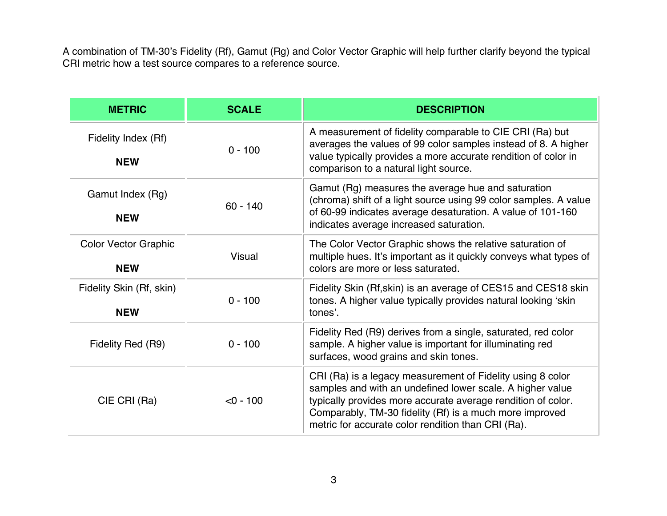A combination of TM-30's Fidelity (Rf), Gamut (Rg) and Color Vector Graphic will help further clarify beyond the typical CRI metric how a test source compares to a reference source.

| <b>METRIC</b>                             | <b>SCALE</b> | <b>DESCRIPTION</b>                                                                                                                                                                                                                                                                                       |  |  |
|-------------------------------------------|--------------|----------------------------------------------------------------------------------------------------------------------------------------------------------------------------------------------------------------------------------------------------------------------------------------------------------|--|--|
| Fidelity Index (Rf)<br><b>NEW</b>         | $0 - 100$    | A measurement of fidelity comparable to CIE CRI (Ra) but<br>averages the values of 99 color samples instead of 8. A higher<br>value typically provides a more accurate rendition of color in<br>comparison to a natural light source.                                                                    |  |  |
| Gamut Index (Rg)<br><b>NEW</b>            | $60 - 140$   | Gamut (Rg) measures the average hue and saturation<br>(chroma) shift of a light source using 99 color samples. A value<br>of 60-99 indicates average desaturation. A value of 101-160<br>indicates average increased saturation.                                                                         |  |  |
| <b>Color Vector Graphic</b><br><b>NEW</b> | Visual       | The Color Vector Graphic shows the relative saturation of<br>multiple hues. It's important as it quickly conveys what types of<br>colors are more or less saturated.                                                                                                                                     |  |  |
| Fidelity Skin (Rf, skin)<br><b>NEW</b>    | $0 - 100$    | Fidelity Skin (Rf, skin) is an average of CES15 and CES18 skin<br>tones. A higher value typically provides natural looking 'skin<br>tones'.                                                                                                                                                              |  |  |
| Fidelity Red (R9)                         | $0 - 100$    | Fidelity Red (R9) derives from a single, saturated, red color<br>sample. A higher value is important for illuminating red<br>surfaces, wood grains and skin tones.                                                                                                                                       |  |  |
| CIE CRI (Ra)                              | $< 0 - 100$  | CRI (Ra) is a legacy measurement of Fidelity using 8 color<br>samples and with an undefined lower scale. A higher value<br>typically provides more accurate average rendition of color.<br>Comparably, TM-30 fidelity (Rf) is a much more improved<br>metric for accurate color rendition than CRI (Ra). |  |  |